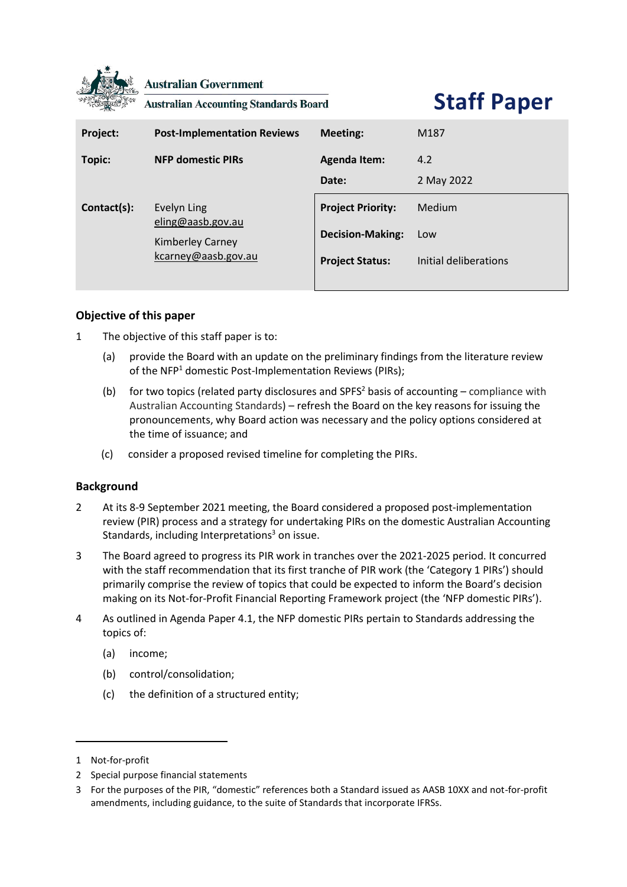

**Australian Government** 

**Australian Accounting Standards Board** 

# **Staff Paper**

| Project:    | <b>Post-Implementation Reviews</b>                                          | <b>Meeting:</b>                                                               | M <sub>187</sub>                       |
|-------------|-----------------------------------------------------------------------------|-------------------------------------------------------------------------------|----------------------------------------|
| Topic:      | <b>NFP domestic PIRs</b>                                                    | <b>Agenda Item:</b><br>Date:                                                  | 4.2<br>2 May 2022                      |
| Contact(s): | Evelyn Ling<br>eling@aasb.gov.au<br>Kimberley Carney<br>kcarney@aasb.gov.au | <b>Project Priority:</b><br><b>Decision-Making:</b><br><b>Project Status:</b> | Medium<br>Low<br>Initial deliberations |

## **Objective of this paper**

- 1 The objective of this staff paper is to:
	- (a) provide the Board with an update on the preliminary findings from the literature review of the NFP<sup>1</sup> domestic Post-Implementation Reviews (PIRs);
	- (b) for two topics (related party disclosures and SPFS<sup>2</sup> basis of accounting compliance with Australian Accounting Standards) – refresh the Board on the key reasons for issuing the pronouncements, why Board action was necessary and the policy options considered at the time of issuance; and
	- (c) consider a proposed revised timeline for completing the PIRs.

## **Background**

- 2 At its 8-9 September 2021 meeting, the Board considered a proposed post-implementation review (PIR) process and a strategy for undertaking PIRs on the domestic Australian Accounting Standards, including Interpretations $3$  on issue.
- 3 The Board agreed to progress its PIR work in tranches over the 2021-2025 period. It concurred with the staff recommendation that its first tranche of PIR work (the 'Category 1 PIRs') should primarily comprise the review of topics that could be expected to inform the Board's decision making on its Not-for-Profit Financial Reporting Framework project (the 'NFP domestic PIRs').
- <span id="page-0-0"></span>4 As outlined in Agenda Paper 4.1, the NFP domestic PIRs pertain to Standards addressing the topics of:
	- (a) income;
	- (b) control/consolidation;
	- (c) the definition of a structured entity;

<sup>1</sup> Not-for-profit

<sup>2</sup> Special purpose financial statements

<sup>3</sup> For the purposes of the PIR, "domestic" references both a Standard issued as AASB 10XX and not-for-profit amendments, including guidance, to the suite of Standards that incorporate IFRSs.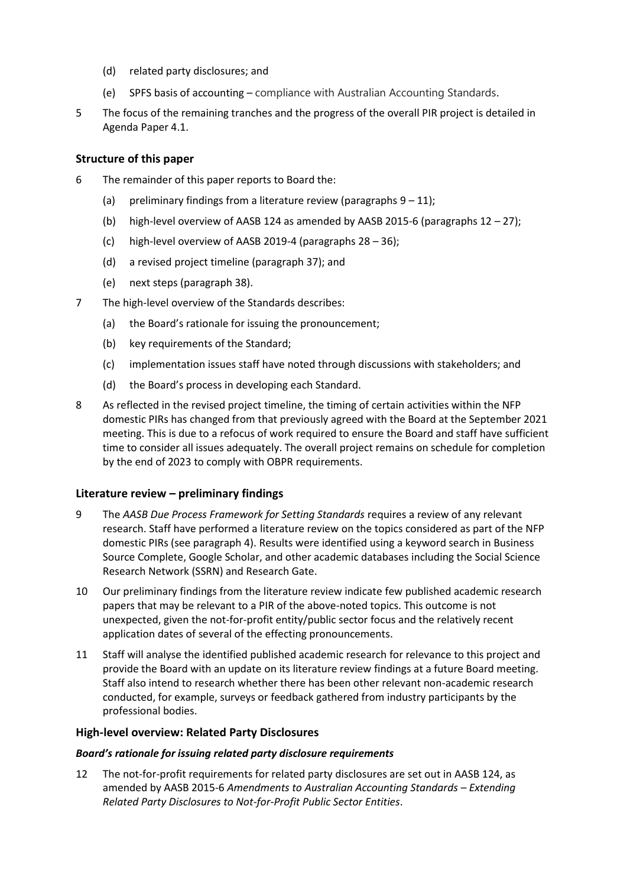- (d) related party disclosures; and
- (e) SPFS basis of accounting compliance with Australian Accounting Standards.
- 5 The focus of the remaining tranches and the progress of the overall PIR project is detailed in Agenda Paper 4.1.

## **Structure of this paper**

- 6 The remainder of this paper reports to Board the:
	- (a) preliminary findings from a literature review (paragraphs  $9 11$ );
	- (b) high-level overview of AASB 124 as amended by AASB 2015-6 (paragraphs [12](#page-1-2) [27\)](#page-3-0);
	- (c) high-level overview of AASB 2019-4 (paragraphs [28](#page-4-0) [36\)](#page-5-0);
	- (d) a revised project timeline (paragraph [37\)](#page-5-1); and
	- (e) next steps (paragraph [38\)](#page-7-0).
- 7 The high-level overview of the Standards describes:
	- (a) the Board's rationale for issuing the pronouncement;
	- (b) key requirements of the Standard;
	- (c) implementation issues staff have noted through discussions with stakeholders; and
	- (d) the Board's process in developing each Standard.
- 8 As reflected in the revised project timeline, the timing of certain activities within the NFP domestic PIRs has changed from that previously agreed with the Board at the September 2021 meeting. This is due to a refocus of work required to ensure the Board and staff have sufficient time to consider all issues adequately. The overall project remains on schedule for completion by the end of 2023 to comply with OBPR requirements.

## **Literature review – preliminary findings**

- <span id="page-1-0"></span>9 The *AASB Due Process Framework for Setting Standards* requires a review of any relevant research. Staff have performed a literature review on the topics considered as part of the NFP domestic PIRs (see paragraph [4\)](#page-0-0). Results were identified using a keyword search in Business Source Complete, Google Scholar, and other academic databases including the Social Science Research Network (SSRN) and Research Gate.
- 10 Our preliminary findings from the literature review indicate few published academic research papers that may be relevant to a PIR of the above-noted topics. This outcome is not unexpected, given the not-for-profit entity/public sector focus and the relatively recent application dates of several of the effecting pronouncements.
- <span id="page-1-1"></span>11 Staff will analyse the identified published academic research for relevance to this project and provide the Board with an update on its literature review findings at a future Board meeting. Staff also intend to research whether there has been other relevant non-academic research conducted, for example, surveys or feedback gathered from industry participants by the professional bodies.

## **High-level overview: Related Party Disclosures**

#### *Board's rationale for issuing related party disclosure requirements*

<span id="page-1-2"></span>12 The not-for-profit requirements for related party disclosures are set out in AASB 124, as amended by AASB 2015-6 *Amendments to Australian Accounting Standards – Extending Related Party Disclosures to Not-for-Profit Public Sector Entities*.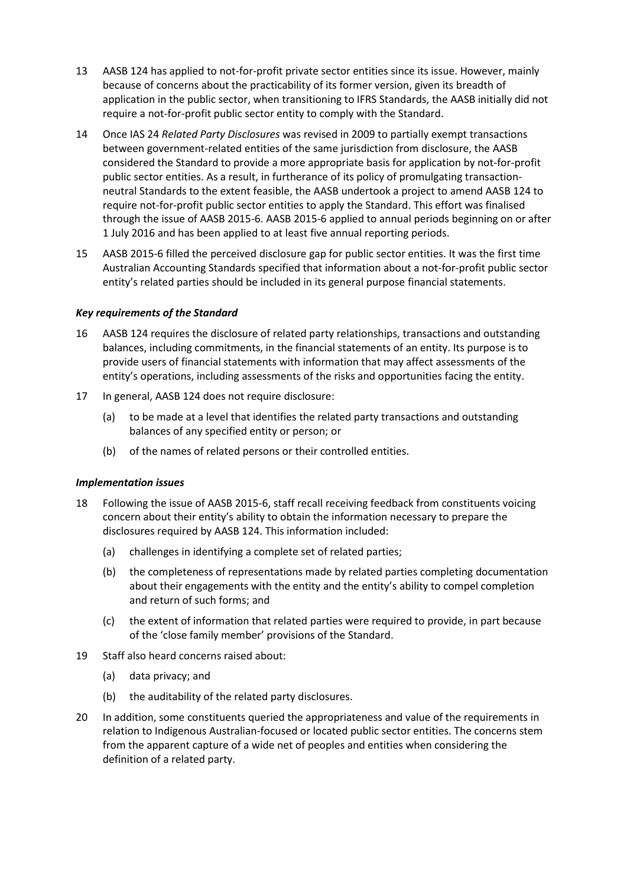- 13 AASB 124 has applied to not-for-profit private sector entities since its issue. However, mainly because of concerns about the practicability of its former version, given its breadth of application in the public sector, when transitioning to IFRS Standards, the AASB initially did not require a not-for-profit public sector entity to comply with the Standard.
- 14 Once IAS 24 *Related Party Disclosures* was revised in 2009 to partially exempt transactions between government-related entities of the same jurisdiction from disclosure, the AASB considered the Standard to provide a more appropriate basis for application by not-for-profit public sector entities. As a result, in furtherance of its policy of promulgating transactionneutral Standards to the extent feasible, the AASB undertook a project to amend AASB 124 to require not-for-profit public sector entities to apply the Standard. This effort was finalised through the issue of AASB 2015-6. AASB 2015-6 applied to annual periods beginning on or after 1 July 2016 and has been applied to at least five annual reporting periods.
- 15 AASB 2015-6 filled the perceived disclosure gap for public sector entities. It was the first time Australian Accounting Standards specified that information about a not-for-profit public sector entity's related parties should be included in its general purpose financial statements.

#### *Key requirements of the Standard*

- 16 AASB 124 requires the disclosure of related party relationships, transactions and outstanding balances, including commitments, in the financial statements of an entity. Its purpose is to provide users of financial statements with information that may affect assessments of the entity's operations, including assessments of the risks and opportunities facing the entity.
- 17 In general, AASB 124 does not require disclosure:
	- (a) to be made at a level that identifies the related party transactions and outstanding balances of any specified entity or person; or
	- (b) of the names of related persons or their controlled entities.

#### *Implementation issues*

- 18 Following the issue of AASB 2015-6, staff recall receiving feedback from constituents voicing concern about their entity's ability to obtain the information necessary to prepare the disclosures required by AASB 124. This information included:
	- (a) challenges in identifying a complete set of related parties;
	- (b) the completeness of representations made by related parties completing documentation about their engagements with the entity and the entity's ability to compel completion and return of such forms; and
	- (c) the extent of information that related parties were required to provide, in part because of the 'close family member' provisions of the Standard.
- 19 Staff also heard concerns raised about:
	- (a) data privacy; and
	- (b) the auditability of the related party disclosures.
- 20 In addition, some constituents queried the appropriateness and value of the requirements in relation to Indigenous Australian-focused or located public sector entities. The concerns stem from the apparent capture of a wide net of peoples and entities when considering the definition of a related party.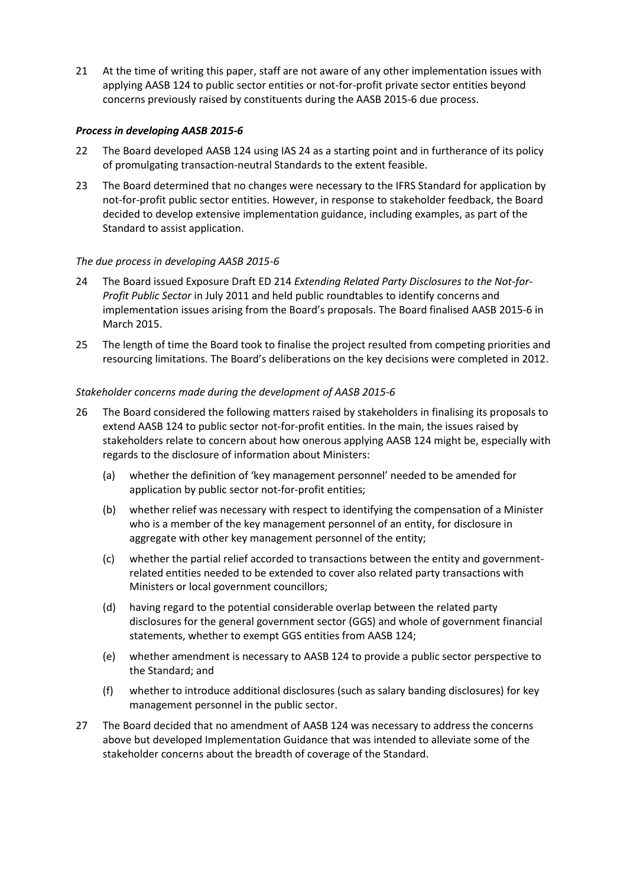21 At the time of writing this paper, staff are not aware of any other implementation issues with applying AASB 124 to public sector entities or not-for-profit private sector entities beyond concerns previously raised by constituents during the AASB 2015-6 due process.

#### *Process in developing AASB 2015-6*

- 22 The Board developed AASB 124 using IAS 24 as a starting point and in furtherance of its policy of promulgating transaction-neutral Standards to the extent feasible.
- 23 The Board determined that no changes were necessary to the IFRS Standard for application by not-for-profit public sector entities. However, in response to stakeholder feedback, the Board decided to develop extensive implementation guidance, including examples, as part of the Standard to assist application.

#### *The due process in developing AASB 2015-6*

- 24 The Board issued Exposure Draft ED 214 *Extending Related Party Disclosures to the Not-for-Profit Public Sector* in July 2011 and held public roundtables to identify concerns and implementation issues arising from the Board's proposals. The Board finalised AASB 2015-6 in March 2015.
- 25 The length of time the Board took to finalise the project resulted from competing priorities and resourcing limitations. The Board's deliberations on the key decisions were completed in 2012.

#### *Stakeholder concerns made during the development of AASB 2015-6*

- 26 The Board considered the following matters raised by stakeholders in finalising its proposals to extend AASB 124 to public sector not-for-profit entities. In the main, the issues raised by stakeholders relate to concern about how onerous applying AASB 124 might be, especially with regards to the disclosure of information about Ministers:
	- (a) whether the definition of 'key management personnel' needed to be amended for application by public sector not-for-profit entities;
	- (b) whether relief was necessary with respect to identifying the compensation of a Minister who is a member of the key management personnel of an entity, for disclosure in aggregate with other key management personnel of the entity;
	- (c) whether the partial relief accorded to transactions between the entity and governmentrelated entities needed to be extended to cover also related party transactions with Ministers or local government councillors;
	- (d) having regard to the potential considerable overlap between the related party disclosures for the general government sector (GGS) and whole of government financial statements, whether to exempt GGS entities from AASB 124;
	- (e) whether amendment is necessary to AASB 124 to provide a public sector perspective to the Standard; and
	- (f) whether to introduce additional disclosures (such as salary banding disclosures) for key management personnel in the public sector.
- <span id="page-3-0"></span>27 The Board decided that no amendment of AASB 124 was necessary to address the concerns above but developed Implementation Guidance that was intended to alleviate some of the stakeholder concerns about the breadth of coverage of the Standard.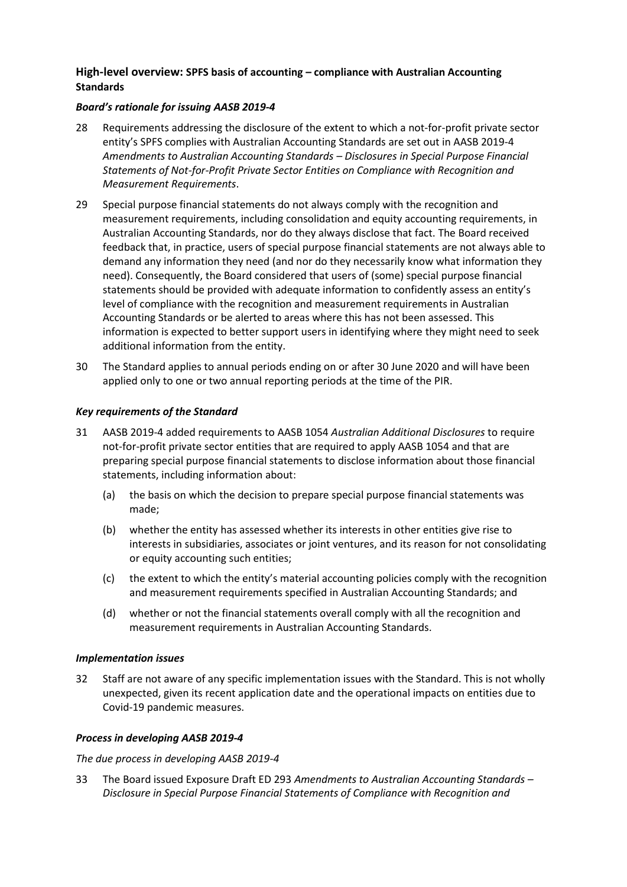## **High-level overview: SPFS basis of accounting – compliance with Australian Accounting Standards**

## *Board's rationale for issuing AASB 2019-4*

- <span id="page-4-0"></span>28 Requirements addressing the disclosure of the extent to which a not-for-profit private sector entity's SPFS complies with Australian Accounting Standards are set out in AASB 2019-4 *Amendments to Australian Accounting Standards – Disclosures in Special Purpose Financial Statements of Not-for-Profit Private Sector Entities on Compliance with Recognition and Measurement Requirements*.
- 29 Special purpose financial statements do not always comply with the recognition and measurement requirements, including consolidation and equity accounting requirements, in Australian Accounting Standards, nor do they always disclose that fact. The Board received feedback that, in practice, users of special purpose financial statements are not always able to demand any information they need (and nor do they necessarily know what information they need). Consequently, the Board considered that users of (some) special purpose financial statements should be provided with adequate information to confidently assess an entity's level of compliance with the recognition and measurement requirements in Australian Accounting Standards or be alerted to areas where this has not been assessed. This information is expected to better support users in identifying where they might need to seek additional information from the entity.
- 30 The Standard applies to annual periods ending on or after 30 June 2020 and will have been applied only to one or two annual reporting periods at the time of the PIR.

#### *Key requirements of the Standard*

- 31 AASB 2019-4 added requirements to AASB 1054 *Australian Additional Disclosures* to require not-for-profit private sector entities that are required to apply AASB 1054 and that are preparing special purpose financial statements to disclose information about those financial statements, including information about:
	- (a) the basis on which the decision to prepare special purpose financial statements was made;
	- (b) whether the entity has assessed whether its interests in other entities give rise to interests in subsidiaries, associates or joint ventures, and its reason for not consolidating or equity accounting such entities;
	- (c) the extent to which the entity's material accounting policies comply with the recognition and measurement requirements specified in Australian Accounting Standards; and
	- (d) whether or not the financial statements overall comply with all the recognition and measurement requirements in Australian Accounting Standards.

#### *Implementation issues*

32 Staff are not aware of any specific implementation issues with the Standard. This is not wholly unexpected, given its recent application date and the operational impacts on entities due to Covid-19 pandemic measures.

#### *Process in developing AASB 2019-4*

#### *The due process in developing AASB 2019-4*

33 The Board issued Exposure Draft ED 293 *Amendments to Australian Accounting Standards – Disclosure in Special Purpose Financial Statements of Compliance with Recognition and*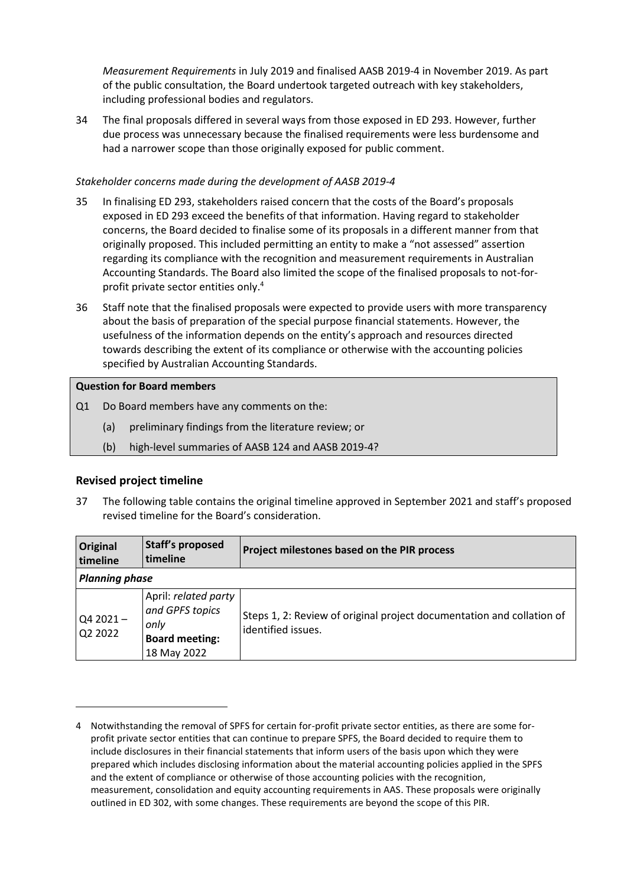*Measurement Requirements* in July 2019 and finalised AASB 2019-4 in November 2019. As part of the public consultation, the Board undertook targeted outreach with key stakeholders, including professional bodies and regulators.

34 The final proposals differed in several ways from those exposed in ED 293. However, further due process was unnecessary because the finalised requirements were less burdensome and had a narrower scope than those originally exposed for public comment.

## *Stakeholder concerns made during the development of AASB 2019-4*

- 35 In finalising ED 293, stakeholders raised concern that the costs of the Board's proposals exposed in ED 293 exceed the benefits of that information. Having regard to stakeholder concerns, the Board decided to finalise some of its proposals in a different manner from that originally proposed. This included permitting an entity to make a "not assessed" assertion regarding its compliance with the recognition and measurement requirements in Australian Accounting Standards. The Board also limited the scope of the finalised proposals to not-forprofit private sector entities only. 4
- <span id="page-5-0"></span>36 Staff note that the finalised proposals were expected to provide users with more transparency about the basis of preparation of the special purpose financial statements. However, the usefulness of the information depends on the entity's approach and resources directed towards describing the extent of its compliance or otherwise with the accounting policies specified by Australian Accounting Standards.

## **Question for Board members**

- Q1 Do Board members have any comments on the:
	- (a) preliminary findings from the literature review; or
	- (b) high-level summaries of AASB 124 and AASB 2019-4?

## **Revised project timeline**

<span id="page-5-1"></span>37 The following table contains the original timeline approved in September 2021 and staff's proposed revised timeline for the Board's consideration.

| <b>Original</b><br>timeline | <b>Staff's proposed</b><br>timeline                                                     | Project milestones based on the PIR process                                                 |  |  |
|-----------------------------|-----------------------------------------------------------------------------------------|---------------------------------------------------------------------------------------------|--|--|
| <b>Planning phase</b>       |                                                                                         |                                                                                             |  |  |
| $Q42021 -$<br>Q2 2022       | April: related party<br>and GPFS topics<br>only<br><b>Board meeting:</b><br>18 May 2022 | Steps 1, 2: Review of original project documentation and collation of<br>identified issues. |  |  |

<sup>4</sup> Notwithstanding the removal of SPFS for certain for-profit private sector entities, as there are some forprofit private sector entities that can continue to prepare SPFS, the Board decided to require them to include disclosures in their financial statements that inform users of the basis upon which they were prepared which includes disclosing information about the material accounting policies applied in the SPFS and the extent of compliance or otherwise of those accounting policies with the recognition, measurement, consolidation and equity accounting requirements in AAS. These proposals were originally outlined in ED 302, with some changes. These requirements are beyond the scope of this PIR.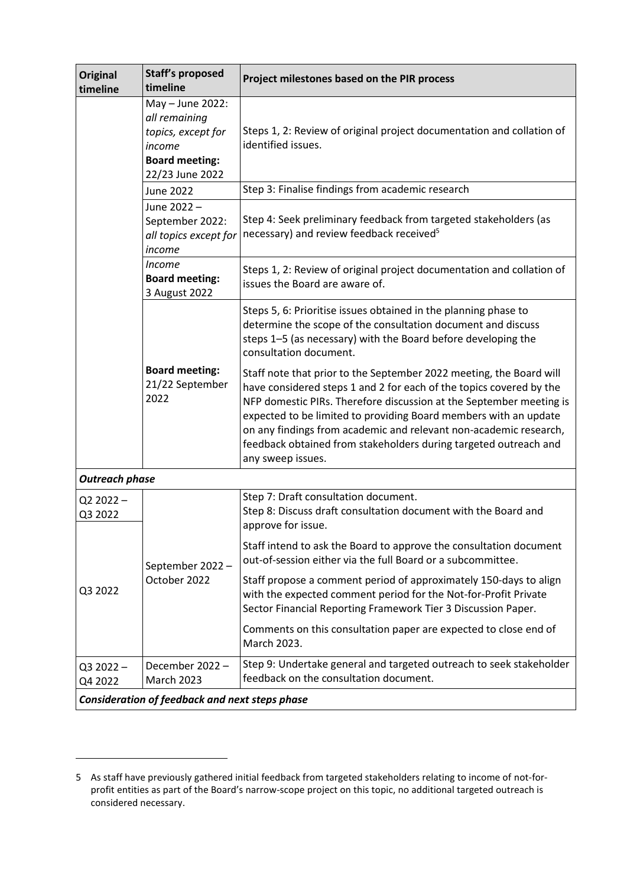| <b>Original</b><br>timeline                    | <b>Staff's proposed</b><br>timeline                                                                           | Project milestones based on the PIR process                                                                                                                                                                                                                                                                                                                                                                                                         |  |  |
|------------------------------------------------|---------------------------------------------------------------------------------------------------------------|-----------------------------------------------------------------------------------------------------------------------------------------------------------------------------------------------------------------------------------------------------------------------------------------------------------------------------------------------------------------------------------------------------------------------------------------------------|--|--|
|                                                | May - June 2022:<br>all remaining<br>topics, except for<br>income<br><b>Board meeting:</b><br>22/23 June 2022 | Steps 1, 2: Review of original project documentation and collation of<br>identified issues.                                                                                                                                                                                                                                                                                                                                                         |  |  |
|                                                | June 2022                                                                                                     | Step 3: Finalise findings from academic research                                                                                                                                                                                                                                                                                                                                                                                                    |  |  |
|                                                | June 2022-<br>September 2022:<br>all topics except for<br>income                                              | Step 4: Seek preliminary feedback from targeted stakeholders (as<br>necessary) and review feedback received <sup>5</sup>                                                                                                                                                                                                                                                                                                                            |  |  |
|                                                | <i>Income</i><br><b>Board meeting:</b><br>3 August 2022                                                       | Steps 1, 2: Review of original project documentation and collation of<br>issues the Board are aware of.                                                                                                                                                                                                                                                                                                                                             |  |  |
|                                                | <b>Board meeting:</b><br>21/22 September<br>2022                                                              | Steps 5, 6: Prioritise issues obtained in the planning phase to<br>determine the scope of the consultation document and discuss<br>steps 1-5 (as necessary) with the Board before developing the<br>consultation document.                                                                                                                                                                                                                          |  |  |
|                                                |                                                                                                               | Staff note that prior to the September 2022 meeting, the Board will<br>have considered steps 1 and 2 for each of the topics covered by the<br>NFP domestic PIRs. Therefore discussion at the September meeting is<br>expected to be limited to providing Board members with an update<br>on any findings from academic and relevant non-academic research,<br>feedback obtained from stakeholders during targeted outreach and<br>any sweep issues. |  |  |
| <b>Outreach phase</b>                          |                                                                                                               |                                                                                                                                                                                                                                                                                                                                                                                                                                                     |  |  |
| $Q22022 -$<br>Q3 2022                          | September 2022 -<br>October 2022                                                                              | Step 7: Draft consultation document.<br>Step 8: Discuss draft consultation document with the Board and<br>approve for issue.                                                                                                                                                                                                                                                                                                                        |  |  |
| Q3 2022                                        |                                                                                                               | Staff intend to ask the Board to approve the consultation document<br>out-of-session either via the full Board or a subcommittee.                                                                                                                                                                                                                                                                                                                   |  |  |
|                                                |                                                                                                               | Staff propose a comment period of approximately 150-days to align<br>with the expected comment period for the Not-for-Profit Private<br>Sector Financial Reporting Framework Tier 3 Discussion Paper.                                                                                                                                                                                                                                               |  |  |
|                                                |                                                                                                               | Comments on this consultation paper are expected to close end of<br>March 2023.                                                                                                                                                                                                                                                                                                                                                                     |  |  |
| $Q32022 -$<br>Q4 2022                          | December 2022 -<br><b>March 2023</b>                                                                          | Step 9: Undertake general and targeted outreach to seek stakeholder<br>feedback on the consultation document.                                                                                                                                                                                                                                                                                                                                       |  |  |
| Consideration of feedback and next steps phase |                                                                                                               |                                                                                                                                                                                                                                                                                                                                                                                                                                                     |  |  |

<sup>5</sup> As staff have previously gathered initial feedback from targeted stakeholders relating to income of not-forprofit entities as part of the Board's narrow-scope project on this topic, no additional targeted outreach is considered necessary.